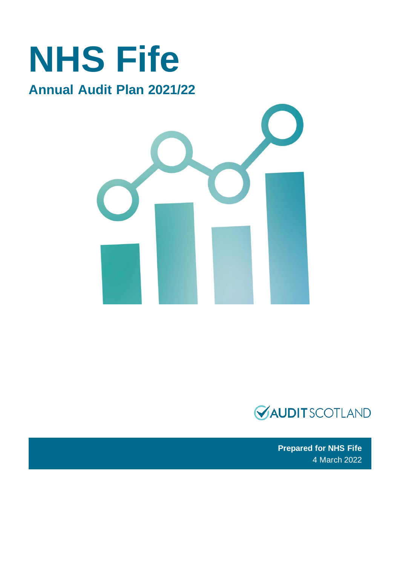### **NHS Fife Annual Audit Plan 2021/22**





**Prepared for NHS Fife** 4 March 2022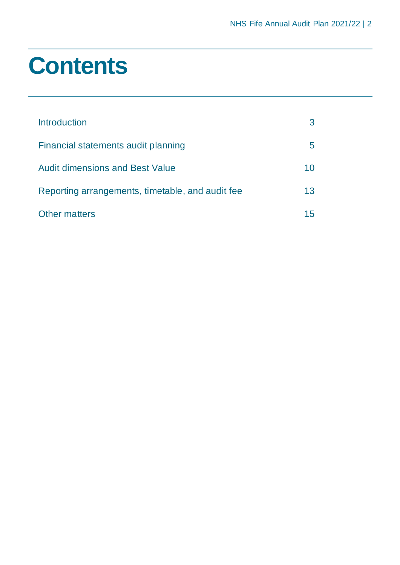### **Contents**

| <i><u><b>Introduction</b></u></i>                |    |
|--------------------------------------------------|----|
| Financial statements audit planning              |    |
| <b>Audit dimensions and Best Value</b>           | 10 |
| Reporting arrangements, timetable, and audit fee | 13 |
| <b>Other matters</b>                             |    |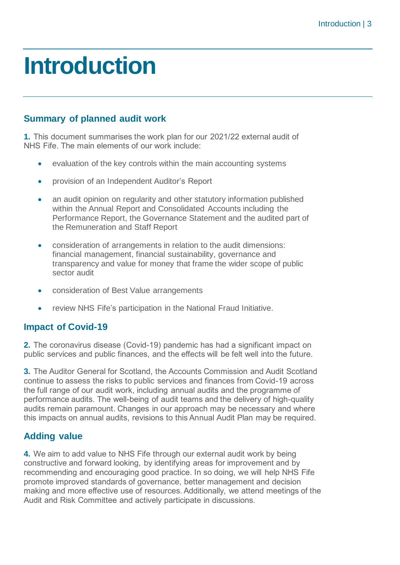### <span id="page-2-0"></span>**Introduction**

#### **Summary of planned audit work**

**1.** This document summarises the work plan for our 2021/22 external audit of NHS Fife. The main elements of our work include:

- evaluation of the key controls within the main accounting systems
- provision of an Independent Auditor's Report
- an audit opinion on regularity and other statutory information published within the Annual Report and Consolidated Accounts including the Performance Report, the Governance Statement and the audited part of the Remuneration and Staff Report
- consideration of arrangements in relation to the audit dimensions: financial management, financial sustainability, governance and transparency and value for money that frame the wider scope of public sector audit
- consideration of Best Value arrangements
- review NHS Fife's participation in the National Fraud Initiative.

#### **Impact of Covid-19**

**2.** The coronavirus disease (Covid-19) pandemic has had a significant impact on public services and public finances, and the effects will be felt well into the future.

**3.** The Auditor General for Scotland, the Accounts Commission and Audit Scotland continue to assess the risks to public services and finances from Covid-19 across the full range of our audit work, including annual audits and the programme of performance audits. The well-being of audit teams and the delivery of high-quality audits remain paramount. Changes in our approach may be necessary and where this impacts on annual audits, revisions to this Annual Audit Plan may be required.

#### **Adding value**

**4.** We aim to add value to NHS Fife through our external audit work by being constructive and forward looking, by identifying areas for improvement and by recommending and encouraging good practice. In so doing, we will help NHS Fife promote improved standards of governance, better management and decision making and more effective use of resources. Additionally, we attend meetings of the Audit and Risk Committee and actively participate in discussions.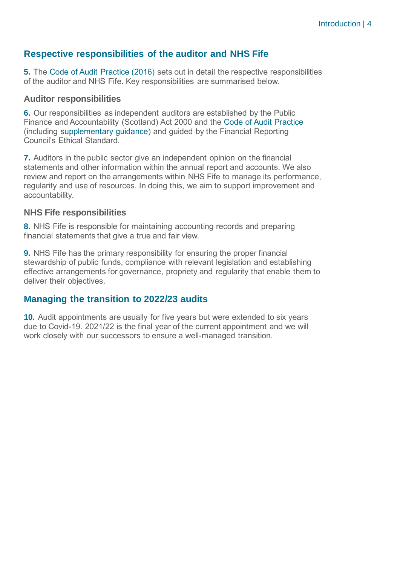#### **Respective responsibilities of the auditor and NHS Fife**

**5.** The [Code of Audit Practice \(2016\)](https://www.audit-scotland.gov.uk/uploads/docs/report/2016/code_audit_practice_16_0.pdf) sets out in detail the respective responsibilities of the auditor and NHS Fife. Key responsibilities are summarised below.

#### **Auditor responsibilities**

**6.** Our responsibilities as independent auditors are established by the Public Finance and Accountability (Scotland) Act 2000 and the [Code of Audit Practice](https://www.audit-scotland.gov.uk/uploads/docs/report/2016/code_audit_practice_16_0.pdf) (including [supplementary guidance\)](https://www.audit-scotland.gov.uk/uploads/docs/um/code_audit_guidance_16_supp.pdf) and guided by the Financial Reporting Council's Ethical Standard.

**7.** Auditors in the public sector give an independent opinion on the financial statements and other information within the annual report and accounts. We also review and report on the arrangements within NHS Fife to manage its performance, regularity and use of resources. In doing this, we aim to support improvement and accountability.

#### **NHS Fife responsibilities**

**8.** NHS Fife is responsible for maintaining accounting records and preparing financial statements that give a true and fair view.

**9.** NHS Fife has the primary responsibility for ensuring the proper financial stewardship of public funds, compliance with relevant legislation and establishing effective arrangements for governance, propriety and regularity that enable them to deliver their objectives.

#### **Managing the transition to 2022/23 audits**

**10.** Audit appointments are usually for five years but were extended to six years due to Covid-19. 2021/22 is the final year of the current appointment and we will work closely with our successors to ensure a well-managed transition.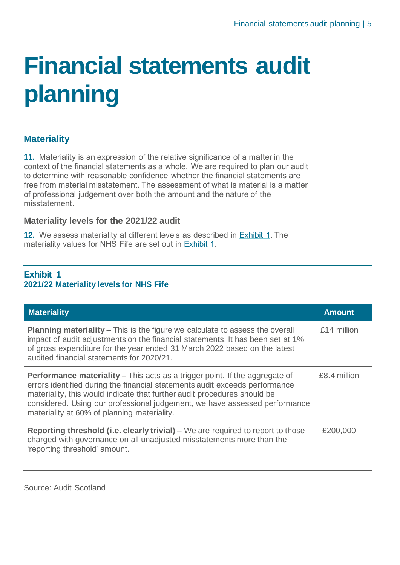# <span id="page-4-0"></span>**Financial statements audit planning**

#### **Materiality**

**11.** Materiality is an expression of the relative significance of a matter in the context of the financial statements as a whole. We are required to plan our audit to determine with reasonable confidence whether the financial statements are free from material misstatement. The assessment of what is material is a matter of professional judgement over both the amount and the nature of the misstatement.

#### **Materiality levels for the 2021/22 audit**

**12.** We assess materiality at different levels as described in [Exhibit 1.](#page-4-1) The materiality values for NHS Fife are set out in [Exhibit 1.](#page-4-1)

#### <span id="page-4-1"></span>**Exhibit 1 2021/22 Materiality levels for NHS Fife**

| <b>Materiality</b>                                                                                                                                                                                                                                                                                                                                                         | <b>Amount</b> |
|----------------------------------------------------------------------------------------------------------------------------------------------------------------------------------------------------------------------------------------------------------------------------------------------------------------------------------------------------------------------------|---------------|
| <b>Planning materiality</b> – This is the figure we calculate to assess the overall<br>impact of audit adjustments on the financial statements. It has been set at 1%<br>of gross expenditure for the year ended 31 March 2022 based on the latest<br>audited financial statements for 2020/21.                                                                            | £14 million   |
| <b>Performance materiality</b> – This acts as a trigger point. If the aggregate of<br>errors identified during the financial statements audit exceeds performance<br>materiality, this would indicate that further audit procedures should be<br>considered. Using our professional judgement, we have assessed performance<br>materiality at 60% of planning materiality. | £8.4 million  |
| <b>Reporting threshold (i.e. clearly trivial)</b> – We are required to report to those<br>charged with governance on all unadjusted misstatements more than the<br>'reporting threshold' amount.                                                                                                                                                                           | £200,000      |

Source: Audit Scotland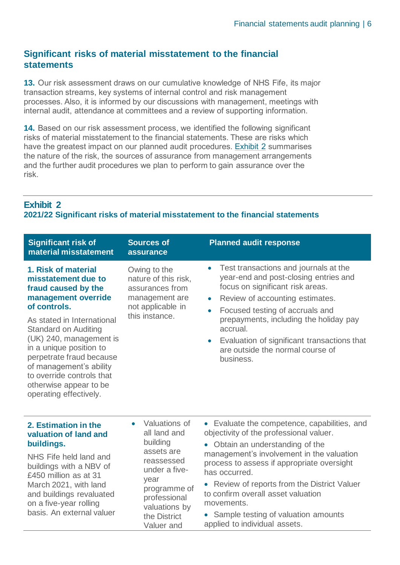#### **Significant risks of material misstatement to the financial statements**

**13.** Our risk assessment draws on our cumulative knowledge of NHS Fife, its major transaction streams, key systems of internal control and risk management processes. Also, it is informed by our discussions with management, meetings with internal audit, attendance at committees and a review of supporting information.

**14.** Based on our risk assessment process, we identified the following significant risks of material misstatement to the financial statements. These are risks which have the greatest impact on our planned audit procedures. [Exhibit 2](#page-5-0) summarises the nature of the risk, the sources of assurance from management arrangements and the further audit procedures we plan to perform to gain assurance over the risk.

#### <span id="page-5-0"></span>**Exhibit 2**

#### **2021/22 Significant risks of material misstatement to the financial statements**

| <b>Significant risk of</b><br>material misstatement                                                                                                                                                                                                                                                                                                                 | <b>Sources of</b><br>assurance                                                                                                                                                             | <b>Planned audit response</b>                                                                                                                                                                                                                                                                                                                                                                                                    |
|---------------------------------------------------------------------------------------------------------------------------------------------------------------------------------------------------------------------------------------------------------------------------------------------------------------------------------------------------------------------|--------------------------------------------------------------------------------------------------------------------------------------------------------------------------------------------|----------------------------------------------------------------------------------------------------------------------------------------------------------------------------------------------------------------------------------------------------------------------------------------------------------------------------------------------------------------------------------------------------------------------------------|
| 1. Risk of material<br>misstatement due to<br>fraud caused by the<br>management override<br>of controls.<br>As stated in International<br><b>Standard on Auditing</b><br>(UK) 240, management is<br>in a unique position to<br>perpetrate fraud because<br>of management's ability<br>to override controls that<br>otherwise appear to be<br>operating effectively. | Owing to the<br>nature of this risk,<br>assurances from<br>management are<br>not applicable in<br>this instance.                                                                           | Test transactions and journals at the<br>$\bullet$<br>year-end and post-closing entries and<br>focus on significant risk areas.<br>Review of accounting estimates.<br>$\bullet$<br>Focused testing of accruals and<br>$\bullet$<br>prepayments, including the holiday pay<br>accrual.<br>Evaluation of significant transactions that<br>$\bullet$<br>are outside the normal course of<br>business.                               |
| 2. Estimation in the<br>valuation of land and<br>buildings.<br>NHS Fife held land and<br>buildings with a NBV of<br>£450 million as at 31<br>March 2021, with land<br>and buildings revaluated<br>on a five-year rolling<br>basis. An external valuer                                                                                                               | Valuations of<br>$\bullet$<br>all land and<br>building<br>assets are<br>reassessed<br>under a five-<br>year<br>programme of<br>professional<br>valuations by<br>the District<br>Valuer and | • Evaluate the competence, capabilities, and<br>objectivity of the professional valuer.<br>• Obtain an understanding of the<br>management's involvement in the valuation<br>process to assess if appropriate oversight<br>has occurred.<br>Review of reports from the District Valuer<br>$\bullet$<br>to confirm overall asset valuation<br>movements.<br>• Sample testing of valuation amounts<br>applied to individual assets. |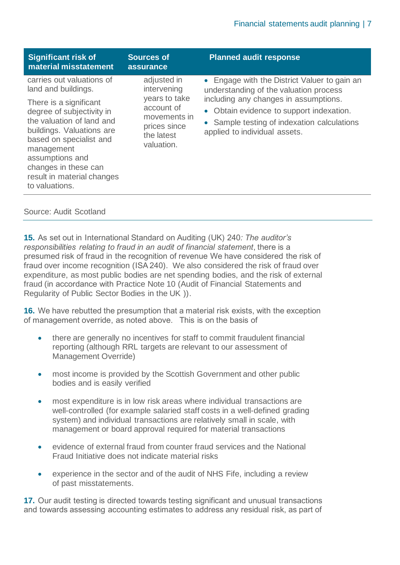| <b>Significant risk of</b><br>material misstatement                                                                                                                                                                                                                                                   | <b>Sources of</b><br>assurance                                                                                        | <b>Planned audit response</b>                                                                                                                                                                                                                               |
|-------------------------------------------------------------------------------------------------------------------------------------------------------------------------------------------------------------------------------------------------------------------------------------------------------|-----------------------------------------------------------------------------------------------------------------------|-------------------------------------------------------------------------------------------------------------------------------------------------------------------------------------------------------------------------------------------------------------|
| carries out valuations of<br>land and buildings.<br>There is a significant<br>degree of subjectivity in<br>the valuation of land and<br>buildings. Valuations are<br>based on specialist and<br>management<br>assumptions and<br>changes in these can<br>result in material changes<br>to valuations. | adjusted in<br>intervening<br>years to take<br>account of<br>movements in<br>prices since<br>the latest<br>valuation. | • Engage with the District Valuer to gain an<br>understanding of the valuation process<br>including any changes in assumptions.<br>• Obtain evidence to support indexation.<br>• Sample testing of indexation calculations<br>applied to individual assets. |

Source: Audit Scotland

**15.** As set out in International Standard on Auditing (UK) 240*: The auditor's responsibilities relating to fraud in an audit of financial statement*, there is a presumed risk of fraud in the recognition of revenue We have considered the risk of fraud over income recognition (ISA 240). We also considered the risk of fraud over expenditure, as most public bodies are net spending bodies, and the risk of external fraud (in accordance with Practice Note 10 (Audit of Financial Statements and Regularity of Public Sector Bodies in the UK )).

**16.** We have rebutted the presumption that a material risk exists, with the exception of management override, as noted above. This is on the basis of

- there are generally no incentives for staff to commit fraudulent financial reporting (although RRL targets are relevant to our assessment of Management Override)
- most income is provided by the Scottish Government and other public bodies and is easily verified
- most expenditure is in low risk areas where individual transactions are well-controlled (for example salaried staff costs in a well-defined grading system) and individual transactions are relatively small in scale, with management or board approval required for material transactions
- evidence of external fraud from counter fraud services and the National Fraud Initiative does not indicate material risks
- experience in the sector and of the audit of NHS Fife, including a review of past misstatements.

**17.** Our audit testing is directed towards testing significant and unusual transactions and towards assessing accounting estimates to address any residual risk, as part of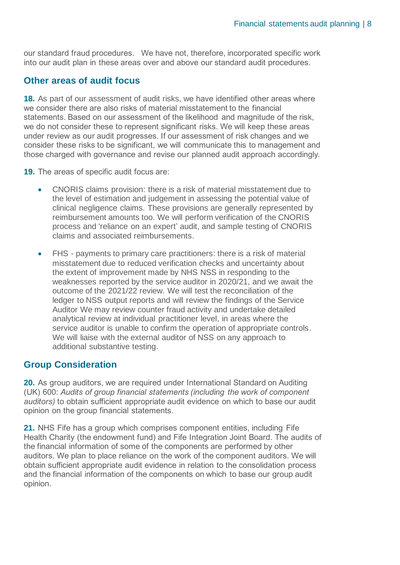our standard fraud procedures. We have not, therefore, incorporated specific work into our audit plan in these areas over and above our standard audit procedures.

#### **Other areas of audit focus**

**18.** As part of our assessment of audit risks, we have identified other areas where we consider there are also risks of material misstatement to the financial statements. Based on our assessment of the likelihood and magnitude of the risk, we do not consider these to represent significant risks. We will keep these areas under review as our audit progresses. If our assessment of risk changes and we consider these risks to be significant, we will communicate this to management and those charged with governance and revise our planned audit approach accordingly.

**19.** The areas of specific audit focus are:

- CNORIS claims provision: there is a risk of material misstatement due to the level of estimation and judgement in assessing the potential value of clinical negligence claims. These provisions are generally represented by reimbursement amounts too. We will perform verification of the CNORIS process and 'reliance on an expert' audit, and sample testing of CNORIS claims and associated reimbursements.
- FHS payments to primary care practitioners: there is a risk of material misstatement due to reduced verification checks and uncertainty about the extent of improvement made by NHS NSS in responding to the weaknesses reported by the service auditor in 2020/21, and we await the outcome of the 2021/22 review. We will test the reconciliation of the ledger to NSS output reports and will review the findings of the Service Auditor We may review counter fraud activity and undertake detailed analytical review at individual practitioner level, in areas where the service auditor is unable to confirm the operation of appropriate controls. We will liaise with the external auditor of NSS on any approach to additional substantive testing.

#### **Group Consideration**

**20.** As group auditors, we are required under International Standard on Auditing (UK) 600: *Audits of group financial statements (including the work of component auditors)* to obtain sufficient appropriate audit evidence on which to base our audit opinion on the group financial statements.

**21.** NHS Fife has a group which comprises component entities, including Fife Health Charity (the endowment fund) and Fife Integration Joint Board. The audits of the financial information of some of the components are performed by other auditors. We plan to place reliance on the work of the component auditors. We will obtain sufficient appropriate audit evidence in relation to the consolidation process and the financial information of the components on which to base our group audit opinion.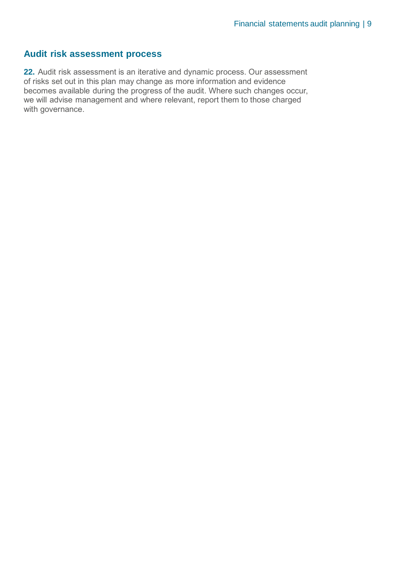#### **Audit risk assessment process**

**22.** Audit risk assessment is an iterative and dynamic process. Our assessment of risks set out in this plan may change as more information and evidence becomes available during the progress of the audit. Where such changes occur, we will advise management and where relevant, report them to those charged with governance.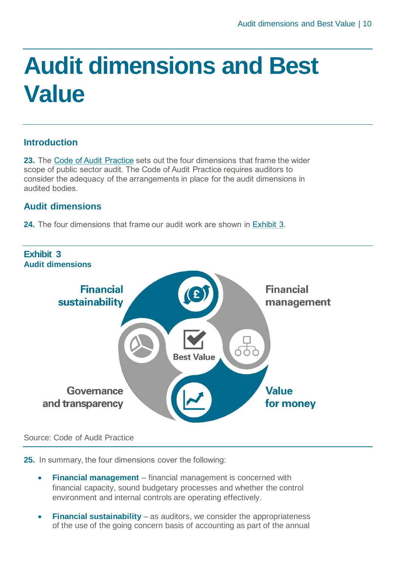## <span id="page-9-0"></span>**Audit dimensions and Best Value**

#### **Introduction**

**23.** The [Code of Audit Practice](https://www.audit-scotland.gov.uk/uploads/docs/report/2016/code_audit_practice_16_0.pdf) sets out the four dimensions that frame the wider scope of public sector audit. The Code of Audit Practice requires auditors to consider the adequacy of the arrangements in place for the audit dimensions in audited bodies.

#### **Audit dimensions**

**24.** The four dimensions that frame our audit work are shown in [Exhibit 3.](#page-9-1)

<span id="page-9-1"></span>

#### Source: Code of Audit Practice

**25.** In summary, the four dimensions cover the following:

- **Financial management** financial management is concerned with financial capacity, sound budgetary processes and whether the control environment and internal controls are operating effectively.
- **Financial sustainability** as auditors, we consider the appropriateness of the use of the going concern basis of accounting as part of the annual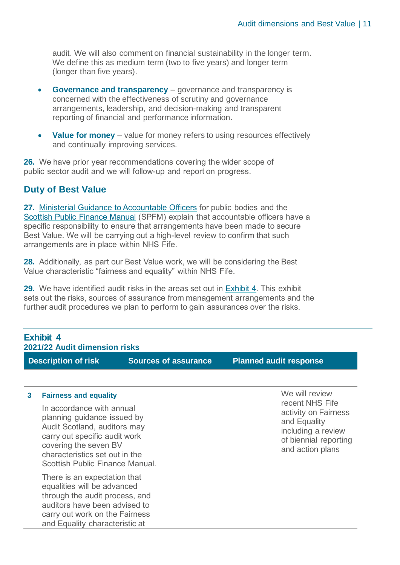audit. We will also comment on financial sustainability in the longer term. We define this as medium term (two to five years) and longer term (longer than five years).

- **Governance and transparency** governance and transparency is concerned with the effectiveness of scrutiny and governance arrangements, leadership, and decision-making and transparent reporting of financial and performance information.
- **Value for money** value for money refers to using resources effectively and continually improving services.

**26.** We have prior year recommendations covering the wider scope of public sector audit and we will follow-up and report on progress.

#### **Duty of Best Value**

and Equality characteristic at

**27.** [Ministerial Guidance to Accountable Officers](https://www.gov.scot/publications/best-value-public-services-guidance-accountable-officers/) for public bodies and the [Scottish Public Finance Manual](https://www.gov.scot/publications/scottish-public-finance-manual/background-and-applicability/background-and-applicability/) (SPFM) explain that accountable officers have a specific responsibility to ensure that arrangements have been made to secure Best Value. We will be carrying out a high-level review to confirm that such arrangements are in place within NHS Fife.

**28.** Additionally, as part our Best Value work, we will be considering the Best Value characteristic "fairness and equality" within NHS Fife.

<span id="page-10-0"></span>**29.** We have identified audit risks in the areas set out in [Exhibit 4.](#page-10-0) This exhibit sets out the risks, sources of assurance from management arrangements and the further audit procedures we plan to perform to gain assurances over the risks.

| <b>Exhibit 4</b><br>2021/22 Audit dimension risks |                                                                                                                                                                                                                                                         |                             |                                                                                                                                              |  |
|---------------------------------------------------|---------------------------------------------------------------------------------------------------------------------------------------------------------------------------------------------------------------------------------------------------------|-----------------------------|----------------------------------------------------------------------------------------------------------------------------------------------|--|
|                                                   | <b>Description of risk</b>                                                                                                                                                                                                                              | <b>Sources of assurance</b> | <b>Planned audit response</b>                                                                                                                |  |
| 3                                                 | <b>Fairness and equality</b><br>In accordance with annual<br>planning guidance issued by<br>Audit Scotland, auditors may<br>carry out specific audit work<br>covering the seven BV<br>characteristics set out in the<br>Scottish Public Finance Manual. |                             | We will review<br>recent NHS Fife<br>activity on Fairness<br>and Equality<br>including a review<br>of biennial reporting<br>and action plans |  |
|                                                   | There is an expectation that<br>equalities will be advanced<br>through the audit process, and<br>auditors have been advised to<br>carry out work on the Fairness                                                                                        |                             |                                                                                                                                              |  |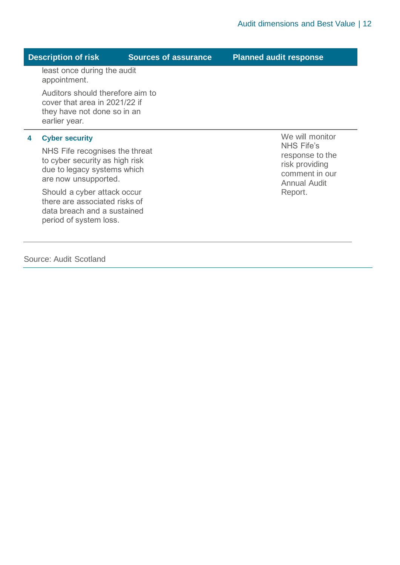#### **Description of risk Sources of assurance Planned audit response**

least once during the audit appointment.

Auditors should therefore aim to cover that area in 2021/22 if they have not done so in an earlier year.

#### **4 Cyber security**

NHS Fife recognises the threat to cyber security as high risk due to legacy systems which are now unsupported.

Should a cyber attack occur there are associated risks of data breach and a sustained period of system loss.

Source: Audit Scotland

We will monitor NHS Fife's response to the risk providing comment in our Annual Audit Report.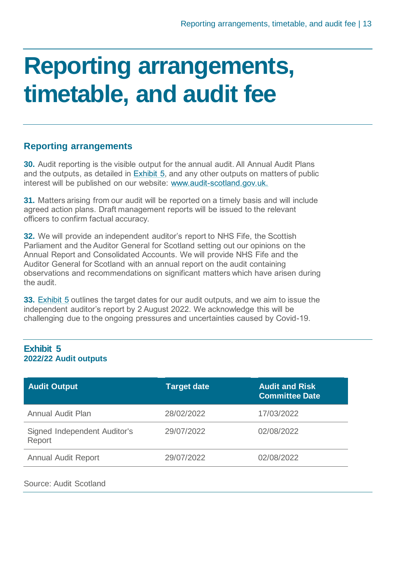### <span id="page-12-0"></span>**Reporting arrangements, timetable, and audit fee**

#### **Reporting arrangements**

**30.** Audit reporting is the visible output for the annual audit. All Annual Audit Plans and the outputs, as detailed in [Exhibit 5,](#page-12-1) and any other outputs on matters of public interest will be published on our website: [www.audit-scotland.gov.uk.](http://www.audit-scotland.gov.uk./)

**31.** Matters arising from our audit will be reported on a timely basis and will include agreed action plans. Draft management reports will be issued to the relevant officers to confirm factual accuracy.

**32.** We will provide an independent auditor's report to NHS Fife, the Scottish Parliament and the Auditor General for Scotland setting out our opinions on the Annual Report and Consolidated Accounts. We will provide NHS Fife and the Auditor General for Scotland with an annual report on the audit containing observations and recommendations on significant matters which have arisen during the audit.

**33.** [Exhibit 5](#page-12-1) outlines the target dates for our audit outputs, and we aim to issue the independent auditor's report by 2 August 2022. We acknowledge this will be challenging due to the ongoing pressures and uncertainties caused by Covid-19.

#### <span id="page-12-1"></span>**Exhibit 5 2022/22 Audit outputs**

| <b>Audit Output</b>                    | <b>Target date</b> | <b>Audit and Risk</b><br><b>Committee Date</b> |
|----------------------------------------|--------------------|------------------------------------------------|
| <b>Annual Audit Plan</b>               | 28/02/2022         | 17/03/2022                                     |
| Signed Independent Auditor's<br>Report | 29/07/2022         | 02/08/2022                                     |
| <b>Annual Audit Report</b>             | 29/07/2022         | 02/08/2022                                     |
|                                        |                    |                                                |

Source: Audit Scotland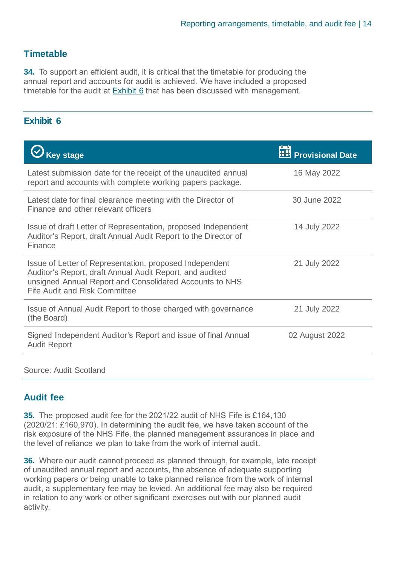#### **Timetable**

**34.** To support an efficient audit, it is critical that the timetable for producing the annual report and accounts for audit is achieved. We have included a proposed timetable for the audit at [Exhibit 6](#page-13-0) that has been discussed with management.

#### <span id="page-13-0"></span>**Exhibit 6**

| <b>Key stage</b>                                                                                                                                                                                                       | <b>THE Provisional Date</b> |
|------------------------------------------------------------------------------------------------------------------------------------------------------------------------------------------------------------------------|-----------------------------|
| Latest submission date for the receipt of the unaudited annual<br>report and accounts with complete working papers package.                                                                                            | 16 May 2022                 |
| Latest date for final clearance meeting with the Director of<br>Finance and other relevant officers                                                                                                                    | 30 June 2022                |
| Issue of draft Letter of Representation, proposed Independent<br>Auditor's Report, draft Annual Audit Report to the Director of<br>Finance                                                                             | 14 July 2022                |
| Issue of Letter of Representation, proposed Independent<br>Auditor's Report, draft Annual Audit Report, and audited<br>unsigned Annual Report and Consolidated Accounts to NHS<br><b>Fife Audit and Risk Committee</b> | 21 July 2022                |
| Issue of Annual Audit Report to those charged with governance<br>(the Board)                                                                                                                                           | 21 July 2022                |
| Signed Independent Auditor's Report and issue of final Annual<br><b>Audit Report</b>                                                                                                                                   | 02 August 2022              |
| Source: Audit Scotland                                                                                                                                                                                                 |                             |

#### **Audit fee**

**35.** The proposed audit fee for the 2021/22 audit of NHS Fife is £164,130 (2020/21: £160,970). In determining the audit fee, we have taken account of the risk exposure of the NHS Fife, the planned management assurances in place and the level of reliance we plan to take from the work of internal audit.

**36.** Where our audit cannot proceed as planned through, for example, late receipt of unaudited annual report and accounts, the absence of adequate supporting working papers or being unable to take planned reliance from the work of internal audit, a supplementary fee may be levied. An additional fee may also be required in relation to any work or other significant exercises out with our planned audit activity.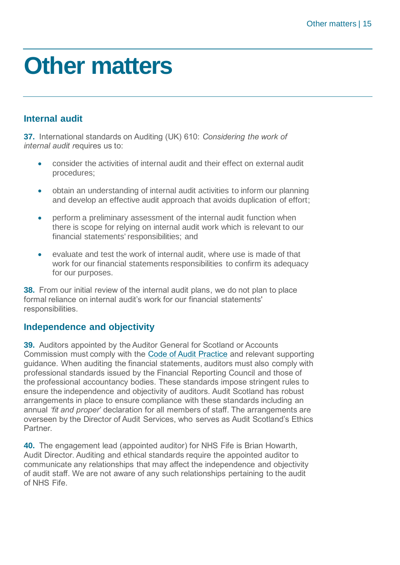### <span id="page-14-0"></span>**Other matters**

### **Internal audit**

**37.** International standards on Auditing (UK) 610: *Considering the work of internal audit r*equires us to:

- consider the activities of internal audit and their effect on external audit procedures;
- obtain an understanding of internal audit activities to inform our planning and develop an effective audit approach that avoids duplication of effort;
- perform a preliminary assessment of the internal audit function when there is scope for relying on internal audit work which is relevant to our financial statements' responsibilities; and
- evaluate and test the work of internal audit, where use is made of that work for our financial statements responsibilities to confirm its adequacy for our purposes.

**38.** From our initial review of the internal audit plans, we do not plan to place formal reliance on internal audit's work for our financial statements' responsibilities.

#### **Independence and objectivity**

**39.** Auditors appointed by the Auditor General for Scotland or Accounts Commission must comply with the [Code of Audit Practice](https://www.audit-scotland.gov.uk/uploads/docs/report/2016/code_audit_practice_16_0.pdf) and relevant supporting guidance. When auditing the financial statements, auditors must also comply with professional standards issued by the Financial Reporting Council and those of the professional accountancy bodies. These standards impose stringent rules to ensure the independence and objectivity of auditors. Audit Scotland has robust arrangements in place to ensure compliance with these standards including an annual *'fit and proper*' declaration for all members of staff. The arrangements are overseen by the Director of Audit Services, who serves as Audit Scotland's Ethics Partner.

**40.** The engagement lead (appointed auditor) for NHS Fife is Brian Howarth, Audit Director. Auditing and ethical standards require the appointed auditor to communicate any relationships that may affect the independence and objectivity of audit staff. We are not aware of any such relationships pertaining to the audit of NHS Fife.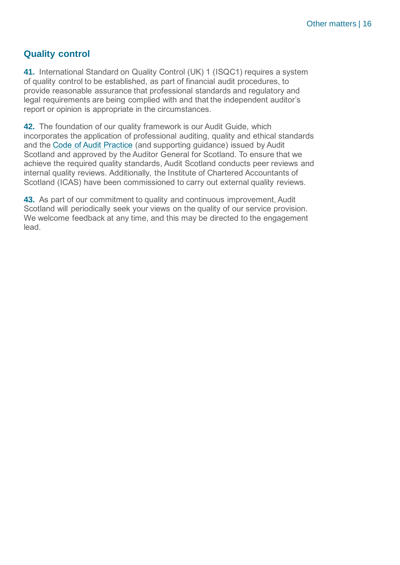#### **Quality control**

**41.** International Standard on Quality Control (UK) 1 (ISQC1) requires a system of quality control to be established, as part of financial audit procedures, to provide reasonable assurance that professional standards and regulatory and legal requirements are being complied with and that the independent auditor's report or opinion is appropriate in the circumstances.

**42.** The foundation of our quality framework is our Audit Guide, which incorporates the application of professional auditing, quality and ethical standards and the Code of Audit Practice (and supporting guidance) issued by Audit Scotland and approved by the Auditor General for Scotland. To ensure that we achieve the required quality standards, Audit Scotland conducts peer reviews and internal quality reviews. Additionally, the Institute of Chartered Accountants of Scotland (ICAS) have been commissioned to carry out external quality reviews.

**43.** As part of our commitment to quality and continuous improvement, Audit Scotland will periodically seek your views on the quality of our service provision. We welcome feedback at any time, and this may be directed to the engagement lead.